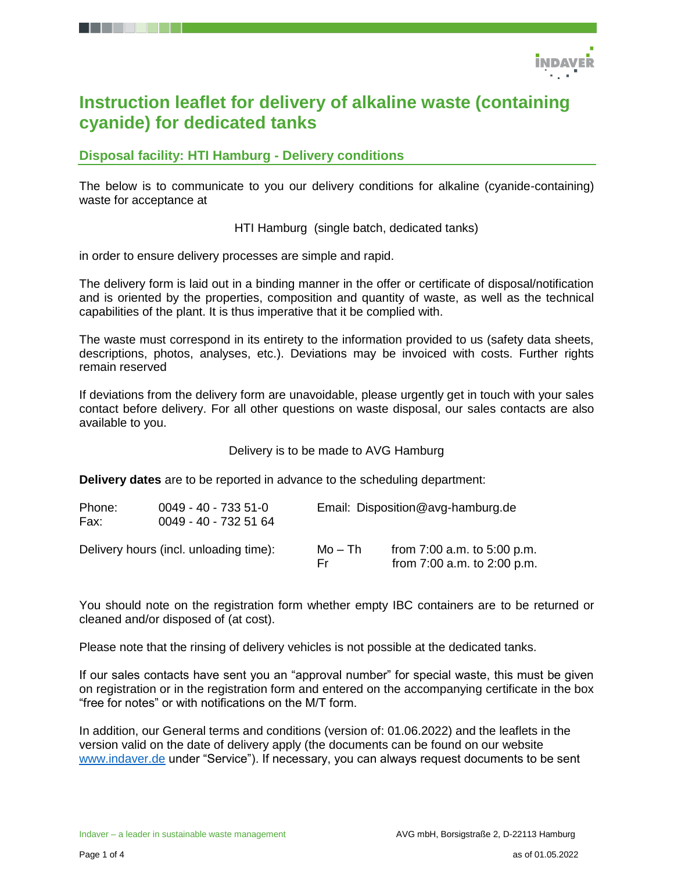

# **Instruction leaflet for delivery of alkaline waste (containing cyanide) for dedicated tanks**

**Disposal facility: HTI Hamburg - Delivery conditions**

The below is to communicate to you our delivery conditions for alkaline (cyanide-containing) waste for acceptance at

HTI Hamburg (single batch, dedicated tanks)

in order to ensure delivery processes are simple and rapid.

The delivery form is laid out in a binding manner in the offer or certificate of disposal/notification and is oriented by the properties, composition and quantity of waste, as well as the technical capabilities of the plant. It is thus imperative that it be complied with.

The waste must correspond in its entirety to the information provided to us (safety data sheets, descriptions, photos, analyses, etc.). Deviations may be invoiced with costs. Further rights remain reserved

If deviations from the delivery form are unavoidable, please urgently get in touch with your sales contact before delivery. For all other questions on waste disposal, our sales contacts are also available to you.

Delivery is to be made to AVG Hamburg

**Delivery dates** are to be reported in advance to the scheduling department:

| Phone:<br>Fax: | $0049 - 40 - 7335 - 51 - 0$<br>0049 - 40 - 732 51 64 |                | Email: Disposition@avg-hamburg.de                              |  |  |
|----------------|------------------------------------------------------|----------------|----------------------------------------------------------------|--|--|
|                | Delivery hours (incl. unloading time):               | Mo – Th<br>Er. | from $7:00$ a.m. to $5:00$ p.m.<br>from 7:00 a.m. to 2:00 p.m. |  |  |

You should note on the registration form whether empty IBC containers are to be returned or cleaned and/or disposed of (at cost).

Please note that the rinsing of delivery vehicles is not possible at the dedicated tanks.

If our sales contacts have sent you an "approval number" for special waste, this must be given on registration or in the registration form and entered on the accompanying certificate in the box "free for notes" or with notifications on the M/T form.

In addition, our General terms and conditions (version of: 01.06.2022) and the leaflets in the version valid on the date of delivery apply (the documents can be found on our website [www.indaver.de](http://www.indaver.de/) under "Service"). If necessary, you can always request documents to be sent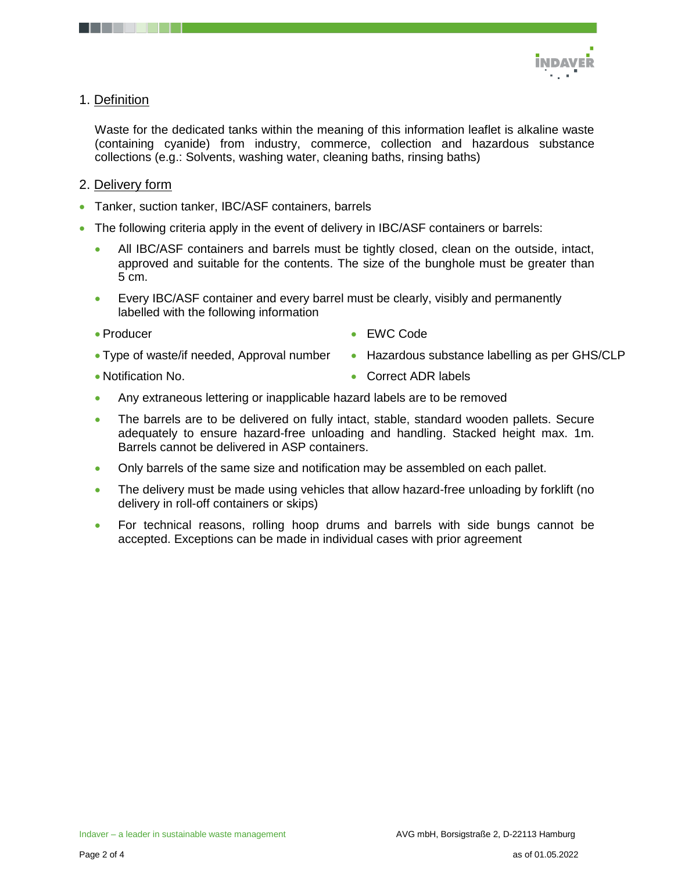

## 1. Definition

Waste for the dedicated tanks within the meaning of this information leaflet is alkaline waste (containing cyanide) from industry, commerce, collection and hazardous substance collections (e.g.: Solvents, washing water, cleaning baths, rinsing baths)

## 2. Delivery form

- Tanker, suction tanker, IBC/ASF containers, barrels
- The following criteria apply in the event of delivery in IBC/ASF containers or barrels:
	- All IBC/ASF containers and barrels must be tightly closed, clean on the outside, intact, approved and suitable for the contents. The size of the bunghole must be greater than 5 cm.
	- Every IBC/ASF container and every barrel must be clearly, visibly and permanently labelled with the following information
	- Producer
- EWC Code
- Type of waste/if needed, Approval number
- Notification No.

• Correct ADR labels

• Hazardous substance labelling as per GHS/CLP

- Any extraneous lettering or inapplicable hazard labels are to be removed
- The barrels are to be delivered on fully intact, stable, standard wooden pallets. Secure adequately to ensure hazard-free unloading and handling. Stacked height max. 1m. Barrels cannot be delivered in ASP containers.
- Only barrels of the same size and notification may be assembled on each pallet.
- The delivery must be made using vehicles that allow hazard-free unloading by forklift (no delivery in roll-off containers or skips)
- For technical reasons, rolling hoop drums and barrels with side bungs cannot be accepted. Exceptions can be made in individual cases with prior agreement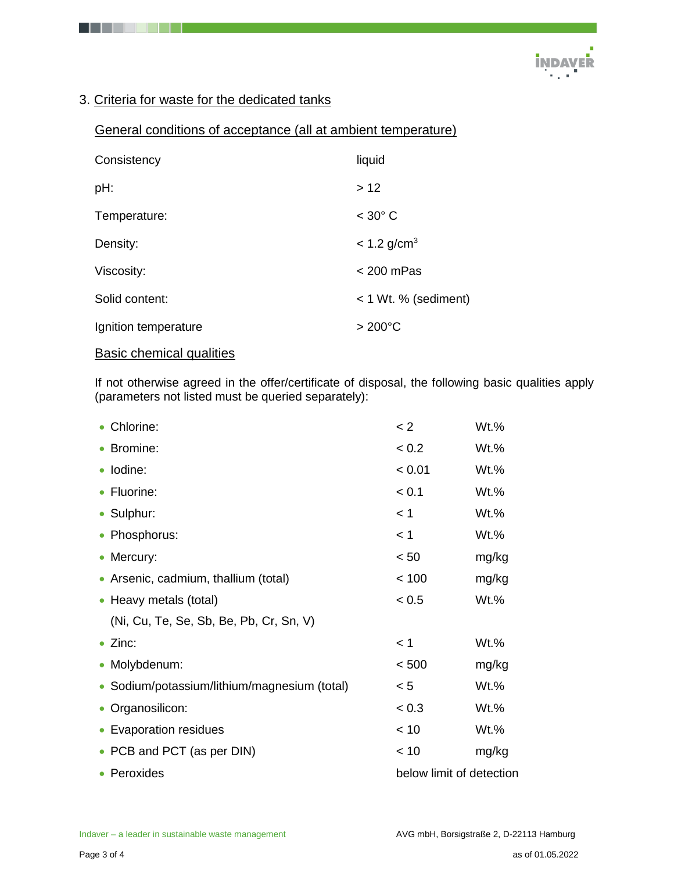

# 3. Criteria for waste for the dedicated tanks

## General conditions of acceptance (all at ambient temperature)

| Consistency          | liquid                    |
|----------------------|---------------------------|
| pH:                  | >12                       |
| Temperature:         | $<$ 30 $^{\circ}$ C       |
| Density:             | $< 1.2$ g/cm <sup>3</sup> |
| Viscosity:           | $<$ 200 mPas              |
| Solid content:       | < 1 Wt. % (sediment)      |
| Ignition temperature | $>200^{\circ}$ C          |
|                      |                           |

# Basic chemical qualities

If not otherwise agreed in the offer/certificate of disposal, the following basic qualities apply (parameters not listed must be queried separately):

| • Chlorine:                                  | < 2                      | Wt.%    |
|----------------------------------------------|--------------------------|---------|
| • Bromine:                                   | < 0.2                    | Wt.%    |
| · Iodine:                                    | < 0.01                   | Wt.%    |
| • Fluorine:                                  | < 0.1                    | Wt.%    |
| • Sulphur:                                   | < 1                      | Wt.%    |
| • Phosphorus:                                | < 1                      | Wt.%    |
| • Mercury:                                   | < 50                     | mg/kg   |
| • Arsenic, cadmium, thallium (total)         | < 100                    | mg/kg   |
| • Heavy metals (total)                       | < 0.5                    | $Wt.$ % |
| (Ni, Cu, Te, Se, Sb, Be, Pb, Cr, Sn, V)      |                          |         |
| $\bullet$ Zinc:                              | < 1                      | Wt.%    |
| • Molybdenum:                                | < 500                    | mg/kg   |
| • Sodium/potassium/lithium/magnesium (total) | < 5                      | Wt.%    |
| • Organosilicon:                             | < 0.3                    | Wt.%    |
| • Evaporation residues                       | < 10                     | Wt.%    |
| • PCB and PCT (as per DIN)                   | < 10                     | mg/kg   |
| • Peroxides                                  | below limit of detection |         |